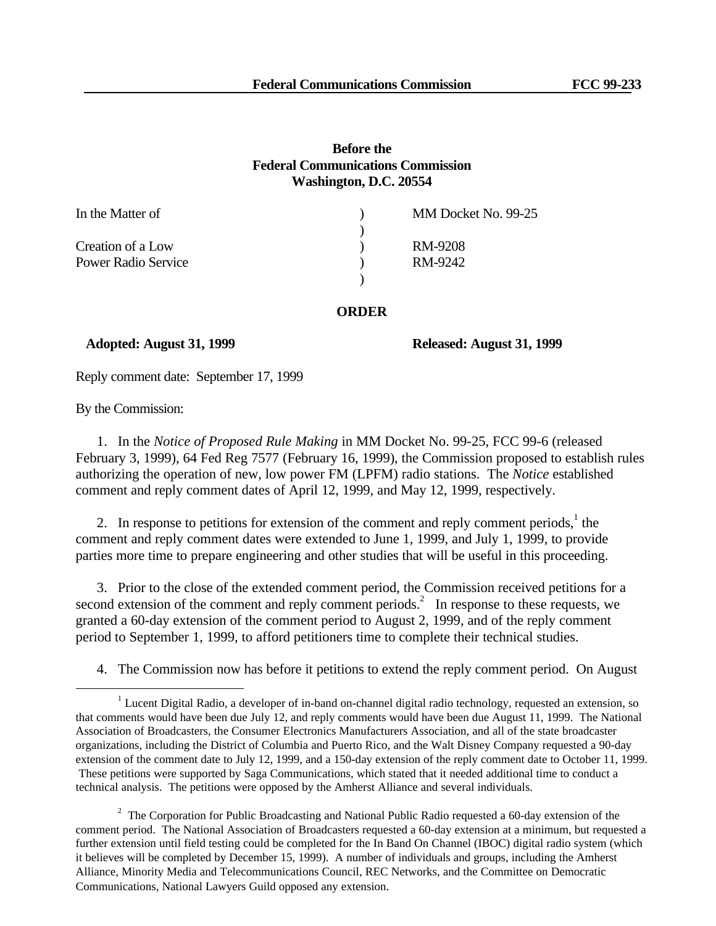## **Before the Federal Communications Commission Washington, D.C. 20554**

| In the Matter of    | MM Docket No. 99-25 |
|---------------------|---------------------|
|                     |                     |
| Creation of a Low   | RM-9208             |
| Power Radio Service | RM-9242             |
|                     |                     |

## **ORDER**

## **Adopted: August 31, 1999 Released: August 31, 1999**

Reply comment date: September 17, 1999

By the Commission:

e<br>S

1. In the *Notice of Proposed Rule Making* in MM Docket No. 99-25, FCC 99-6 (released February 3, 1999), 64 Fed Reg 7577 (February 16, 1999), the Commission proposed to establish rules authorizing the operation of new, low power FM (LPFM) radio stations. The *Notice* established comment and reply comment dates of April 12, 1999, and May 12, 1999, respectively.

2. In response to petitions for extension of the comment and reply comment periods, $<sup>1</sup>$  the</sup> comment and reply comment dates were extended to June 1, 1999, and July 1, 1999, to provide parties more time to prepare engineering and other studies that will be useful in this proceeding.

3. Prior to the close of the extended comment period, the Commission received petitions for a second extension of the comment and reply comment periods. $\frac{1}{2}$  In response to these requests, we granted a 60-day extension of the comment period to August 2, 1999, and of the reply comment period to September 1, 1999, to afford petitioners time to complete their technical studies.

4. The Commission now has before it petitions to extend the reply comment period. On August

<sup>&</sup>lt;sup>1</sup> Lucent Digital Radio, a developer of in-band on-channel digital radio technology, requested an extension, so that comments would have been due July 12, and reply comments would have been due August 11, 1999. The National Association of Broadcasters, the Consumer Electronics Manufacturers Association, and all of the state broadcaster organizations, including the District of Columbia and Puerto Rico, and the Walt Disney Company requested a 90-day extension of the comment date to July 12, 1999, and a 150-day extension of the reply comment date to October 11, 1999. These petitions were supported by Saga Communications, which stated that it needed additional time to conduct a technical analysis. The petitions were opposed by the Amherst Alliance and several individuals.

 $2$  The Corporation for Public Broadcasting and National Public Radio requested a 60-day extension of the comment period. The National Association of Broadcasters requested a 60-day extension at a minimum, but requested a further extension until field testing could be completed for the In Band On Channel (IBOC) digital radio system (which it believes will be completed by December 15, 1999). A number of individuals and groups, including the Amherst Alliance, Minority Media and Telecommunications Council, REC Networks, and the Committee on Democratic Communications, National Lawyers Guild opposed any extension.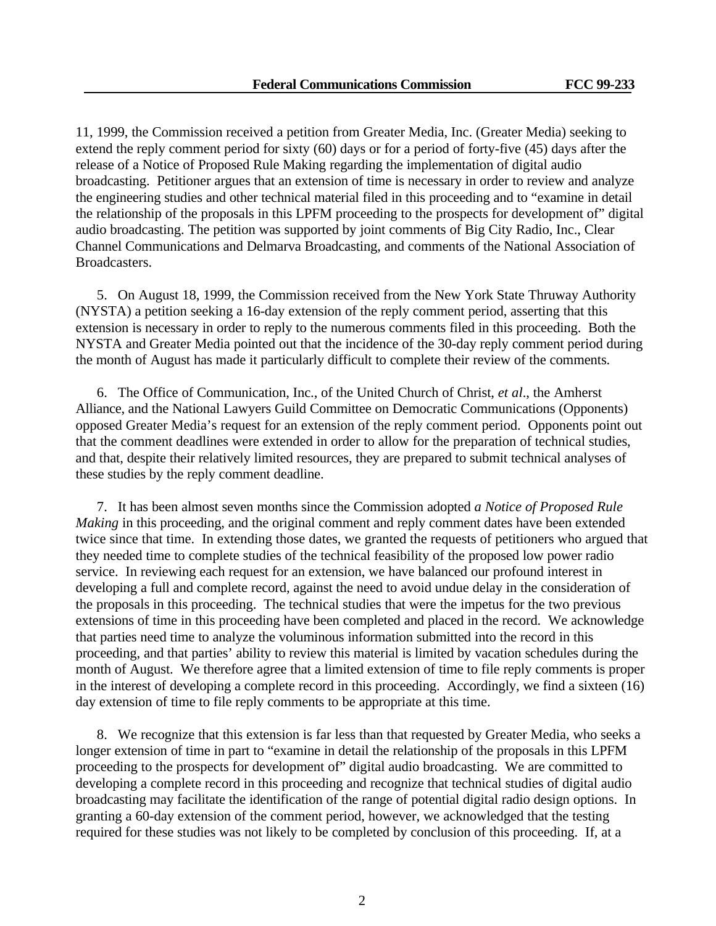11, 1999, the Commission received a petition from Greater Media, Inc. (Greater Media) seeking to extend the reply comment period for sixty (60) days or for a period of forty-five (45) days after the release of a Notice of Proposed Rule Making regarding the implementation of digital audio broadcasting. Petitioner argues that an extension of time is necessary in order to review and analyze the engineering studies and other technical material filed in this proceeding and to "examine in detail the relationship of the proposals in this LPFM proceeding to the prospects for development of" digital audio broadcasting. The petition was supported by joint comments of Big City Radio, Inc., Clear Channel Communications and Delmarva Broadcasting, and comments of the National Association of Broadcasters.

5. On August 18, 1999, the Commission received from the New York State Thruway Authority (NYSTA) a petition seeking a 16-day extension of the reply comment period, asserting that this extension is necessary in order to reply to the numerous comments filed in this proceeding. Both the NYSTA and Greater Media pointed out that the incidence of the 30-day reply comment period during the month of August has made it particularly difficult to complete their review of the comments.

6. The Office of Communication, Inc., of the United Church of Christ, *et al*., the Amherst Alliance, and the National Lawyers Guild Committee on Democratic Communications (Opponents) opposed Greater Media's request for an extension of the reply comment period. Opponents point out that the comment deadlines were extended in order to allow for the preparation of technical studies, and that, despite their relatively limited resources, they are prepared to submit technical analyses of these studies by the reply comment deadline.

7. It has been almost seven months since the Commission adopted *a Notice of Proposed Rule Making* in this proceeding, and the original comment and reply comment dates have been extended twice since that time. In extending those dates, we granted the requests of petitioners who argued that they needed time to complete studies of the technical feasibility of the proposed low power radio service. In reviewing each request for an extension, we have balanced our profound interest in developing a full and complete record, against the need to avoid undue delay in the consideration of the proposals in this proceeding. The technical studies that were the impetus for the two previous extensions of time in this proceeding have been completed and placed in the record. We acknowledge that parties need time to analyze the voluminous information submitted into the record in this proceeding, and that parties' ability to review this material is limited by vacation schedules during the month of August. We therefore agree that a limited extension of time to file reply comments is proper in the interest of developing a complete record in this proceeding. Accordingly, we find a sixteen (16) day extension of time to file reply comments to be appropriate at this time.

8. We recognize that this extension is far less than that requested by Greater Media, who seeks a longer extension of time in part to "examine in detail the relationship of the proposals in this LPFM proceeding to the prospects for development of" digital audio broadcasting. We are committed to developing a complete record in this proceeding and recognize that technical studies of digital audio broadcasting may facilitate the identification of the range of potential digital radio design options. In granting a 60-day extension of the comment period, however, we acknowledged that the testing required for these studies was not likely to be completed by conclusion of this proceeding. If, at a